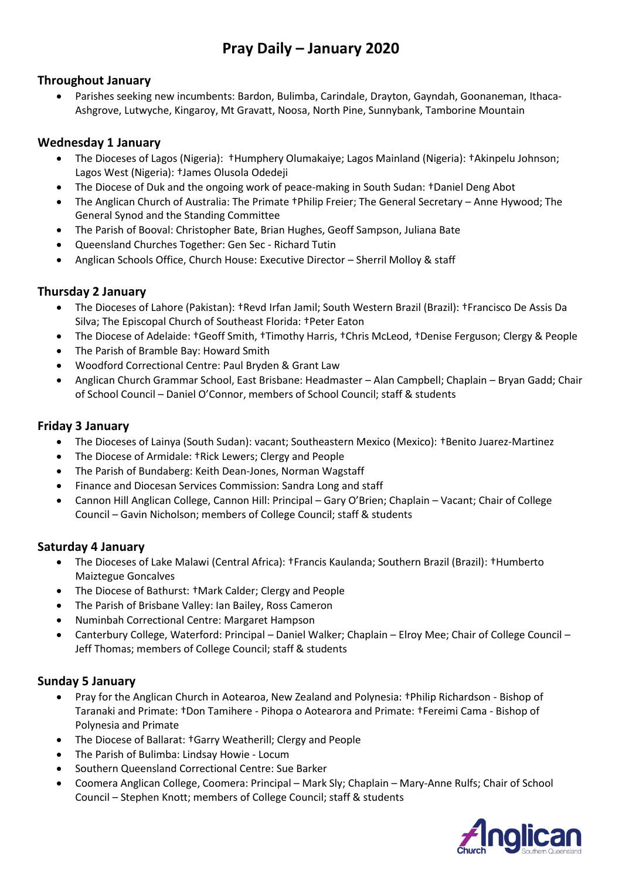# **Pray Daily – January 2020**

### **Throughout January**

• Parishes seeking new incumbents: Bardon, Bulimba, Carindale, Drayton, Gayndah, Goonaneman, Ithaca-Ashgrove, Lutwyche, Kingaroy, Mt Gravatt, Noosa, North Pine, Sunnybank, Tamborine Mountain

### **Wednesday 1 January**

- The Dioceses of Lagos (Nigeria): †Humphery Olumakaiye; Lagos Mainland (Nigeria): †Akinpelu Johnson; Lagos West (Nigeria): †James Olusola Odedeji
- The Diocese of Duk and the ongoing work of peace-making in South Sudan: †Daniel Deng Abot
- The Anglican Church of Australia: The Primate †Philip Freier; The General Secretary Anne Hywood; The General Synod and the Standing Committee
- The Parish of Booval: Christopher Bate, Brian Hughes, Geoff Sampson, Juliana Bate
- Queensland Churches Together: Gen Sec Richard Tutin
- Anglican Schools Office, Church House: Executive Director Sherril Molloy & staff

### **Thursday 2 January**

- The Dioceses of Lahore (Pakistan): †Revd Irfan Jamil; South Western Brazil (Brazil): †Francisco De Assis Da Silva; The Episcopal Church of Southeast Florida: †Peter Eaton
- The Diocese of Adelaide: †Geoff Smith, †Timothy Harris, †Chris McLeod, †Denise Ferguson; Clergy & People
- The Parish of Bramble Bay: Howard Smith
- Woodford Correctional Centre: Paul Bryden & Grant Law
- Anglican Church Grammar School, East Brisbane: Headmaster Alan Campbell; Chaplain Bryan Gadd; Chair of School Council – Daniel O'Connor, members of School Council; staff & students

#### **Friday 3 January**

- The Dioceses of Lainya (South Sudan): vacant; Southeastern Mexico (Mexico): †Benito Juarez-Martinez
- The Diocese of Armidale: †Rick Lewers; Clergy and People
- The Parish of Bundaberg: Keith Dean-Jones, Norman Wagstaff
- Finance and Diocesan Services Commission: Sandra Long and staff
- Cannon Hill Anglican College, Cannon Hill: Principal Gary O'Brien; Chaplain Vacant; Chair of College Council – Gavin Nicholson; members of College Council; staff & students

#### **Saturday 4 January**

- The Dioceses of Lake Malawi (Central Africa): †Francis Kaulanda; Southern Brazil (Brazil): †Humberto Maiztegue Goncalves
- The Diocese of Bathurst: †Mark Calder; Clergy and People
- The Parish of Brisbane Valley: Ian Bailey, Ross Cameron
- Numinbah Correctional Centre: Margaret Hampson
- Canterbury College, Waterford: Principal Daniel Walker; Chaplain Elroy Mee; Chair of College Council Jeff Thomas; members of College Council; staff & students

#### **Sunday 5 January**

- Pray for the Anglican Church in Aotearoa, New Zealand and Polynesia: †Philip Richardson Bishop of Taranaki and Primate: †Don Tamihere - Pihopa o Aotearora and Primate: †Fereimi Cama - Bishop of Polynesia and Primate
- The Diocese of Ballarat: †Garry Weatherill; Clergy and People
- The Parish of Bulimba: Lindsay Howie Locum
- Southern Queensland Correctional Centre: Sue Barker
- Coomera Anglican College, Coomera: Principal Mark Sly; Chaplain Mary-Anne Rulfs; Chair of School Council – Stephen Knott; members of College Council; staff & students

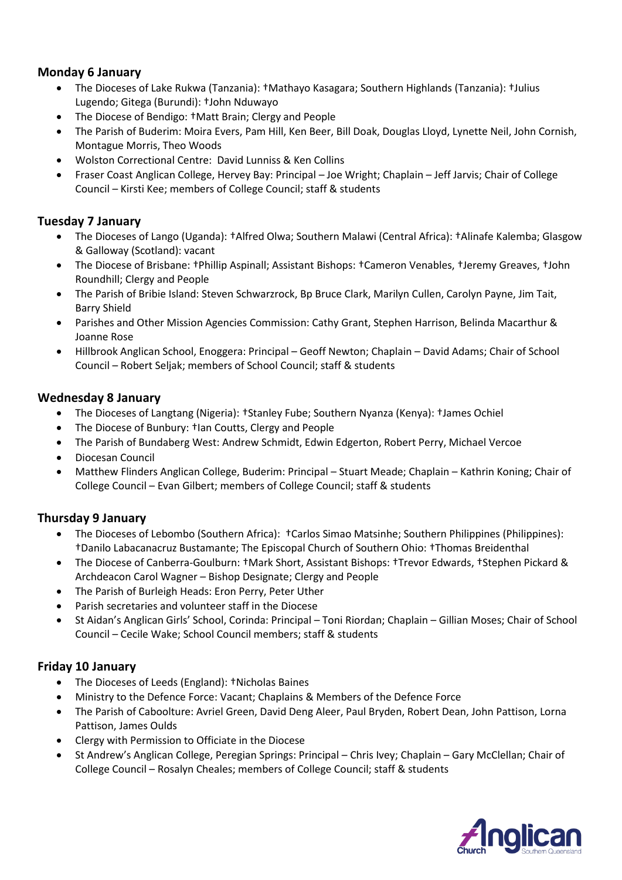### **Monday 6 January**

- The Dioceses of Lake Rukwa (Tanzania): †Mathayo Kasagara; Southern Highlands (Tanzania): †Julius Lugendo; Gitega (Burundi): †John Nduwayo
- The Diocese of Bendigo: †Matt Brain; Clergy and People
- The Parish of Buderim: Moira Evers, Pam Hill, Ken Beer, Bill Doak, Douglas Lloyd, Lynette Neil, John Cornish, Montague Morris, Theo Woods
- Wolston Correctional Centre: David Lunniss & Ken Collins
- Fraser Coast Anglican College, Hervey Bay: Principal Joe Wright; Chaplain Jeff Jarvis; Chair of College Council – Kirsti Kee; members of College Council; staff & students

#### **Tuesday 7 January**

- The Dioceses of Lango (Uganda): †Alfred Olwa; Southern Malawi (Central Africa): †Alinafe Kalemba; Glasgow & Galloway (Scotland): vacant
- The Diocese of Brisbane: †Phillip Aspinall; Assistant Bishops: †Cameron Venables, †Jeremy Greaves, †John Roundhill; Clergy and People
- The Parish of Bribie Island: Steven Schwarzrock, Bp Bruce Clark, Marilyn Cullen, Carolyn Payne, Jim Tait, Barry Shield
- Parishes and Other Mission Agencies Commission: Cathy Grant, Stephen Harrison, Belinda Macarthur & Joanne Rose
- Hillbrook Anglican School, Enoggera: Principal Geoff Newton; Chaplain David Adams; Chair of School Council – Robert Seljak; members of School Council; staff & students

#### **Wednesday 8 January**

- The Dioceses of Langtang (Nigeria): †Stanley Fube; Southern Nyanza (Kenya): †James Ochiel
- The Diocese of Bunbury: †Ian Coutts, Clergy and People
- The Parish of Bundaberg West: Andrew Schmidt, Edwin Edgerton, Robert Perry, Michael Vercoe
- Diocesan Council
- Matthew Flinders Anglican College, Buderim: Principal Stuart Meade; Chaplain Kathrin Koning; Chair of College Council – Evan Gilbert; members of College Council; staff & students

#### **Thursday 9 January**

- The Dioceses of Lebombo (Southern Africa): †Carlos Simao Matsinhe; Southern Philippines (Philippines): †Danilo Labacanacruz Bustamante; The Episcopal Church of Southern Ohio: †Thomas Breidenthal
- The Diocese of Canberra-Goulburn: †Mark Short, Assistant Bishops: †Trevor Edwards, †Stephen Pickard & Archdeacon Carol Wagner – Bishop Designate; Clergy and People
- The Parish of Burleigh Heads: Eron Perry, Peter Uther
- Parish secretaries and volunteer staff in the Diocese
- St Aidan's Anglican Girls' School, Corinda: Principal Toni Riordan; Chaplain Gillian Moses; Chair of School Council – Cecile Wake; School Council members; staff & students

#### **Friday 10 January**

- The Dioceses of Leeds (England): †Nicholas Baines
- Ministry to the Defence Force: Vacant; Chaplains & Members of the Defence Force
- The Parish of Caboolture: Avriel Green, David Deng Aleer, Paul Bryden, Robert Dean, John Pattison, Lorna Pattison, James Oulds
- Clergy with Permission to Officiate in the Diocese
- St Andrew's Anglican College, Peregian Springs: Principal Chris Ivey; Chaplain Gary McClellan; Chair of College Council – Rosalyn Cheales; members of College Council; staff & students

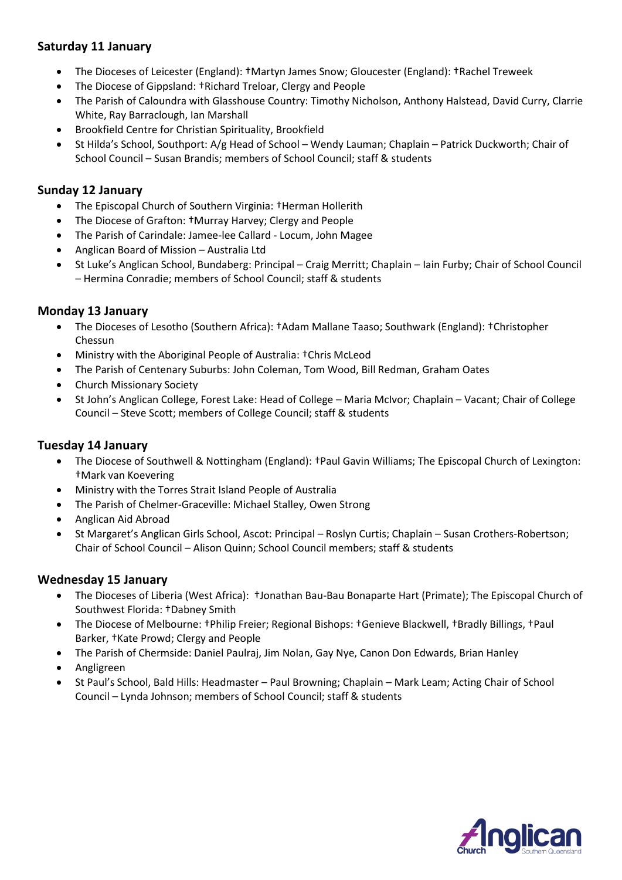# **Saturday 11 January**

- The Dioceses of Leicester (England): †Martyn James Snow; Gloucester (England): †Rachel Treweek
- The Diocese of Gippsland: †Richard Treloar, Clergy and People
- The Parish of Caloundra with Glasshouse Country: Timothy Nicholson, Anthony Halstead, David Curry, Clarrie White, Ray Barraclough, Ian Marshall
- Brookfield Centre for Christian Spirituality, Brookfield
- St Hilda's School, Southport: A/g Head of School Wendy Lauman; Chaplain Patrick Duckworth; Chair of School Council – Susan Brandis; members of School Council; staff & students

# **Sunday 12 January**

- The Episcopal Church of Southern Virginia: †Herman Hollerith
- The Diocese of Grafton: †Murray Harvey; Clergy and People
- The Parish of Carindale: Jamee-lee Callard Locum, John Magee
- Anglican Board of Mission Australia Ltd
- St Luke's Anglican School, Bundaberg: Principal Craig Merritt; Chaplain Iain Furby; Chair of School Council – Hermina Conradie; members of School Council; staff & students

#### **Monday 13 January**

- The Dioceses of Lesotho (Southern Africa): †Adam Mallane Taaso; Southwark (England): †Christopher Chessun
- Ministry with the Aboriginal People of Australia: †Chris McLeod
- The Parish of Centenary Suburbs: John Coleman, Tom Wood, Bill Redman, Graham Oates
- Church Missionary Society
- St John's Anglican College, Forest Lake: Head of College Maria McIvor; Chaplain Vacant; Chair of College Council – Steve Scott; members of College Council; staff & students

# **Tuesday 14 January**

- The Diocese of Southwell & Nottingham (England): †Paul Gavin Williams; The Episcopal Church of Lexington: †Mark van Koevering
- Ministry with the Torres Strait Island People of Australia
- The Parish of Chelmer-Graceville: Michael Stalley, Owen Strong
- Anglican Aid Abroad
- St Margaret's Anglican Girls School, Ascot: Principal Roslyn Curtis; Chaplain Susan Crothers-Robertson; Chair of School Council – Alison Quinn; School Council members; staff & students

#### **Wednesday 15 January**

- The Dioceses of Liberia (West Africa): †Jonathan Bau-Bau Bonaparte Hart (Primate); The Episcopal Church of Southwest Florida: †Dabney Smith
- The Diocese of Melbourne: †Philip Freier; Regional Bishops: †Genieve Blackwell, †Bradly Billings, †Paul Barker, †Kate Prowd; Clergy and People
- The Parish of Chermside: Daniel Paulraj, Jim Nolan, Gay Nye, Canon Don Edwards, Brian Hanley
- Angligreen
- St Paul's School, Bald Hills: Headmaster Paul Browning; Chaplain Mark Leam; Acting Chair of School Council – Lynda Johnson; members of School Council; staff & students

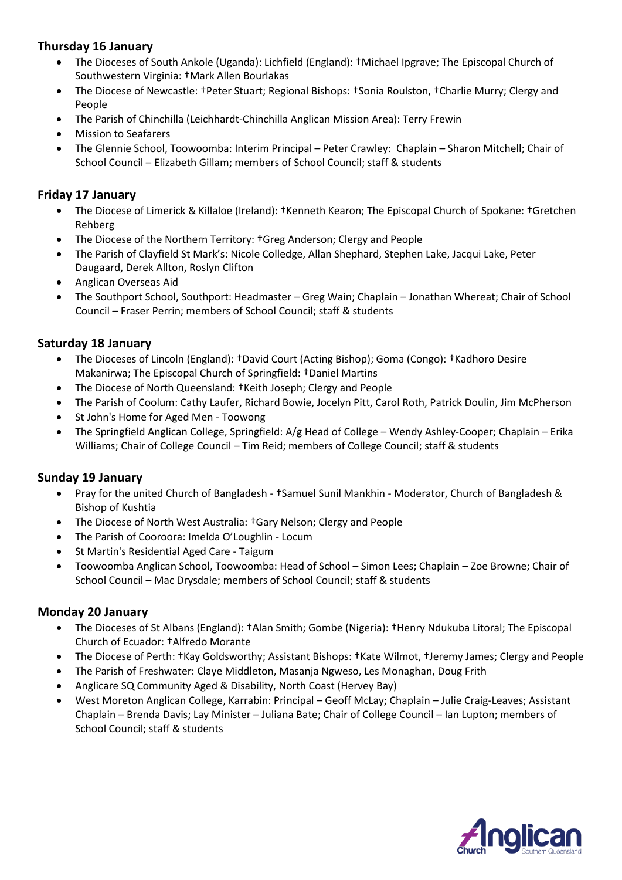# **Thursday 16 January**

- The Dioceses of South Ankole (Uganda): Lichfield (England): †Michael Ipgrave; The Episcopal Church of Southwestern Virginia: †Mark Allen Bourlakas
- The Diocese of Newcastle: †Peter Stuart; Regional Bishops: †Sonia Roulston, †Charlie Murry; Clergy and People
- The Parish of Chinchilla (Leichhardt-Chinchilla Anglican Mission Area): Terry Frewin
- Mission to Seafarers
- The Glennie School, Toowoomba: Interim Principal Peter Crawley: Chaplain Sharon Mitchell; Chair of School Council – Elizabeth Gillam; members of School Council; staff & students

#### **Friday 17 January**

- The Diocese of Limerick & Killaloe (Ireland): †Kenneth Kearon; The Episcopal Church of Spokane: †Gretchen Rehberg
- The Diocese of the Northern Territory: †Greg Anderson; Clergy and People
- The Parish of Clayfield St Mark's: Nicole Colledge, Allan Shephard, Stephen Lake, Jacqui Lake, Peter Daugaard, Derek Allton, Roslyn Clifton
- Anglican Overseas Aid
- The Southport School, Southport: Headmaster Greg Wain; Chaplain Jonathan Whereat; Chair of School Council – Fraser Perrin; members of School Council; staff & students

#### **Saturday 18 January**

- The Dioceses of Lincoln (England): †David Court (Acting Bishop); Goma (Congo): †Kadhoro Desire Makanirwa; The Episcopal Church of Springfield: †Daniel Martins
- The Diocese of North Queensland: †Keith Joseph; Clergy and People
- The Parish of Coolum: Cathy Laufer, Richard Bowie, Jocelyn Pitt, Carol Roth, Patrick Doulin, Jim McPherson
- St John's Home for Aged Men Toowong
- The Springfield Anglican College, Springfield: A/g Head of College Wendy Ashley-Cooper; Chaplain Erika Williams; Chair of College Council – Tim Reid; members of College Council; staff & students

#### **Sunday 19 January**

- Pray for the united Church of Bangladesh †Samuel Sunil Mankhin Moderator, Church of Bangladesh & Bishop of Kushtia
- The Diocese of North West Australia: †Gary Nelson; Clergy and People
- The Parish of Cooroora: Imelda O'Loughlin Locum
- St Martin's Residential Aged Care Taigum
- Toowoomba Anglican School, Toowoomba: Head of School Simon Lees; Chaplain Zoe Browne; Chair of School Council – Mac Drysdale; members of School Council; staff & students

#### **Monday 20 January**

- The Dioceses of St Albans (England): †Alan Smith; Gombe (Nigeria): †Henry Ndukuba Litoral; The Episcopal Church of Ecuador: †Alfredo Morante
- The Diocese of Perth: †Kay Goldsworthy; Assistant Bishops: †Kate Wilmot, †Jeremy James; Clergy and People
- The Parish of Freshwater: Claye Middleton, Masanja Ngweso, Les Monaghan, Doug Frith
- Anglicare SQ Community Aged & Disability, North Coast (Hervey Bay)
- West Moreton Anglican College, Karrabin: Principal Geoff McLay; Chaplain Julie Craig-Leaves; Assistant Chaplain – Brenda Davis; Lay Minister – Juliana Bate; Chair of College Council – Ian Lupton; members of School Council; staff & students

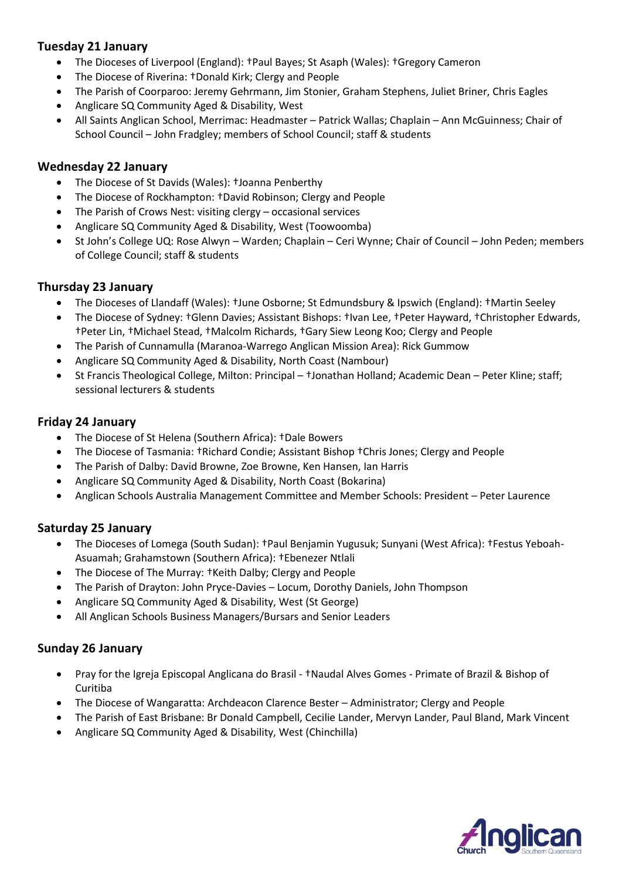### **Tuesday 21 January**

- The Dioceses of Liverpool (England): †Paul Bayes; St Asaph (Wales): †Gregory Cameron
- The Diocese of Riverina: †Donald Kirk; Clergy and People
- The Parish of Coorparoo: Jeremy Gehrmann, Jim Stonier, Graham Stephens, Juliet Briner, Chris Eagles
- Anglicare SQ Community Aged & Disability, West
- All Saints Anglican School, Merrimac: Headmaster Patrick Wallas; Chaplain Ann McGuinness; Chair of School Council – John Fradgley; members of School Council; staff & students

#### **Wednesday 22 January**

- The Diocese of St Davids (Wales): †Joanna Penberthy
- The Diocese of Rockhampton: †David Robinson; Clergy and People
- The Parish of Crows Nest: visiting clergy occasional services
- Anglicare SQ Community Aged & Disability, West (Toowoomba)
- St John's College UQ: Rose Alwyn Warden; Chaplain Ceri Wynne; Chair of Council John Peden; members of College Council; staff & students

#### **Thursday 23 January**

- The Dioceses of Llandaff (Wales): †June Osborne; St Edmundsbury & Ipswich (England): †Martin Seeley
- The Diocese of Sydney: †Glenn Davies; Assistant Bishops: †Ivan Lee, †Peter Hayward, †Christopher Edwards, †Peter Lin, †Michael Stead, †Malcolm Richards, †Gary Siew Leong Koo; Clergy and People
- The Parish of Cunnamulla (Maranoa-Warrego Anglican Mission Area): Rick Gummow
- Anglicare SQ Community Aged & Disability, North Coast (Nambour)
- St Francis Theological College, Milton: Principal †Jonathan Holland; Academic Dean Peter Kline; staff; sessional lecturers & students

#### **Friday 24 January**

- The Diocese of St Helena (Southern Africa): †Dale Bowers
- The Diocese of Tasmania: †Richard Condie; Assistant Bishop †Chris Jones; Clergy and People
- The Parish of Dalby: David Browne, Zoe Browne, Ken Hansen, Ian Harris
- Anglicare SQ Community Aged & Disability, North Coast (Bokarina)
- Anglican Schools Australia Management Committee and Member Schools: President Peter Laurence

#### **Saturday 25 January**

- The Dioceses of Lomega (South Sudan): †Paul Benjamin Yugusuk; Sunyani (West Africa): †Festus Yeboah-Asuamah; Grahamstown (Southern Africa): †Ebenezer Ntlali
- The Diocese of The Murray: †Keith Dalby; Clergy and People
- The Parish of Drayton: John Pryce-Davies Locum, Dorothy Daniels, John Thompson
- Anglicare SQ Community Aged & Disability, West (St George)
- All Anglican Schools Business Managers/Bursars and Senior Leaders

#### **Sunday 26 January**

- Pray for the Igreja Episcopal Anglicana do Brasil †Naudal Alves Gomes Primate of Brazil & Bishop of Curitiba
- The Diocese of Wangaratta: Archdeacon Clarence Bester Administrator; Clergy and People
- The Parish of East Brisbane: Br Donald Campbell, Cecilie Lander, Mervyn Lander, Paul Bland, Mark Vincent
- Anglicare SQ Community Aged & Disability, West (Chinchilla)